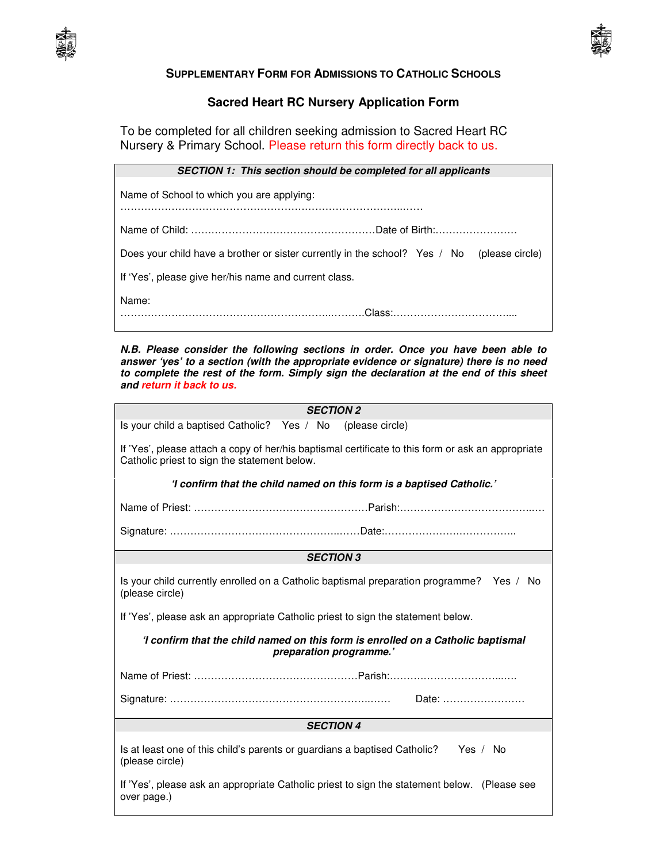



## **SUPPLEMENTARY FORM FOR ADMISSIONS TO CATHOLIC SCHOOLS**

## **Sacred Heart RC Nursery Application Form**

To be completed for all children seeking admission to Sacred Heart RC Nursery & Primary School. Please return this form directly back to us.

| SECTION 1: This section should be completed for all applicants                             |
|--------------------------------------------------------------------------------------------|
| Name of School to which you are applying:                                                  |
|                                                                                            |
| Does your child have a brother or sister currently in the school? Yes / No (please circle) |
| If 'Yes', please give her/his name and current class.                                      |
| Name:                                                                                      |

**N.B. Please consider the following sections in order. Once you have been able to answer 'yes' to a section (with the appropriate evidence or signature) there is no need to complete the rest of the form. Simply sign the declaration at the end of this sheet and return it back to us.**

| <b>SECTION 2</b>                                                                                                                                   |
|----------------------------------------------------------------------------------------------------------------------------------------------------|
| Is your child a baptised Catholic? Yes / No (please circle)                                                                                        |
| If 'Yes', please attach a copy of her/his baptismal certificate to this form or ask an appropriate<br>Catholic priest to sign the statement below. |
| 'I confirm that the child named on this form is a baptised Catholic.'                                                                              |
|                                                                                                                                                    |
|                                                                                                                                                    |
| <b>SECTION 3</b>                                                                                                                                   |
| Is your child currently enrolled on a Catholic baptismal preparation programme? Yes / No<br>(please circle)                                        |
| If 'Yes', please ask an appropriate Catholic priest to sign the statement below.                                                                   |
| 'I confirm that the child named on this form is enrolled on a Catholic baptismal<br>preparation programme.'                                        |
|                                                                                                                                                    |
| Date:                                                                                                                                              |
| <b>SECTION 4</b>                                                                                                                                   |
| Is at least one of this child's parents or guardians a baptised Catholic?<br>Yes / No<br>(please circle)                                           |
| If 'Yes', please ask an appropriate Catholic priest to sign the statement below. (Please see<br>over page.)                                        |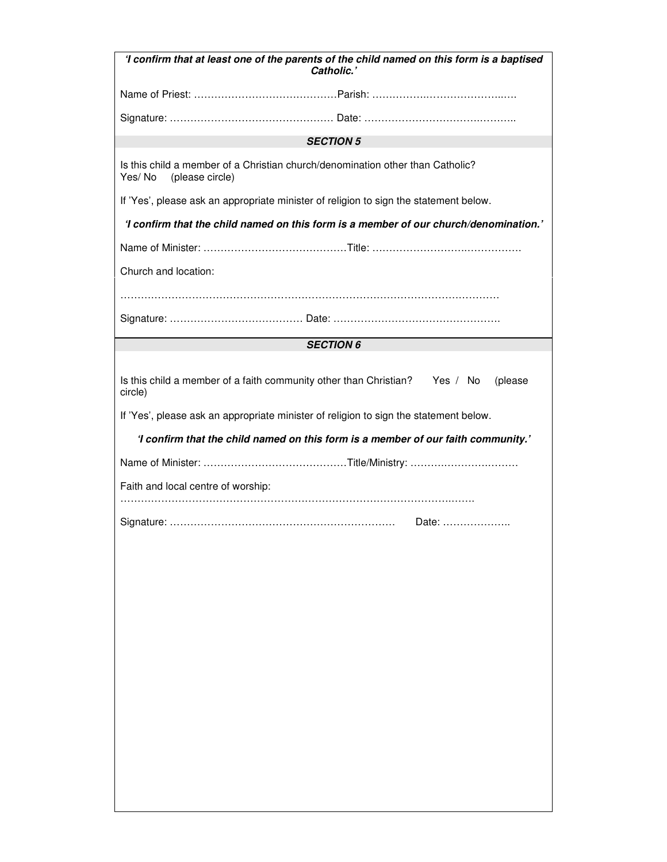| 'I confirm that at least one of the parents of the child named on this form is a baptised<br>Catholic.'     |
|-------------------------------------------------------------------------------------------------------------|
|                                                                                                             |
|                                                                                                             |
| <b>SECTION 5</b>                                                                                            |
| Is this child a member of a Christian church/denomination other than Catholic?<br>Yes/No<br>(please circle) |
| If 'Yes', please ask an appropriate minister of religion to sign the statement below.                       |
| 'I confirm that the child named on this form is a member of our church/denomination.'                       |
|                                                                                                             |
| Church and location:                                                                                        |
|                                                                                                             |
|                                                                                                             |
| <b>SECTION 6</b>                                                                                            |
| Is this child a member of a faith community other than Christian? Yes / No<br>(please<br>circle)            |
| If 'Yes', please ask an appropriate minister of religion to sign the statement below.                       |
| 'I confirm that the child named on this form is a member of our faith community.'                           |
|                                                                                                             |
| Faith and local centre of worship:                                                                          |
| Date:                                                                                                       |
|                                                                                                             |
|                                                                                                             |
|                                                                                                             |
|                                                                                                             |
|                                                                                                             |
|                                                                                                             |
|                                                                                                             |
|                                                                                                             |
|                                                                                                             |
|                                                                                                             |
|                                                                                                             |